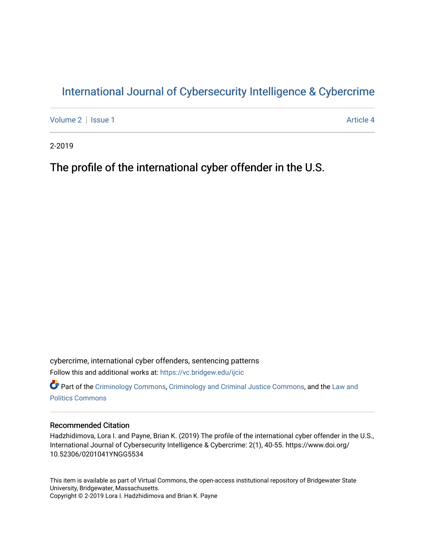# [International Journal of Cybersecurity Intelligence & Cybercrime](https://vc.bridgew.edu/ijcic)

[Volume 2](https://vc.bridgew.edu/ijcic/vol2) | [Issue 1](https://vc.bridgew.edu/ijcic/vol2/iss1) Article 4

2-2019

The profile of the international cyber offender in the U.S.

cybercrime, international cyber offenders, sentencing patterns Follow this and additional works at: [https://vc.bridgew.edu/ijcic](https://vc.bridgew.edu/ijcic?utm_source=vc.bridgew.edu%2Fijcic%2Fvol2%2Fiss1%2F4&utm_medium=PDF&utm_campaign=PDFCoverPages) 

**C** Part of the [Criminology Commons](https://network.bepress.com/hgg/discipline/417?utm_source=vc.bridgew.edu%2Fijcic%2Fvol2%2Fiss1%2F4&utm_medium=PDF&utm_campaign=PDFCoverPages), [Criminology and Criminal Justice Commons,](https://network.bepress.com/hgg/discipline/367?utm_source=vc.bridgew.edu%2Fijcic%2Fvol2%2Fiss1%2F4&utm_medium=PDF&utm_campaign=PDFCoverPages) and the [Law and](https://network.bepress.com/hgg/discipline/867?utm_source=vc.bridgew.edu%2Fijcic%2Fvol2%2Fiss1%2F4&utm_medium=PDF&utm_campaign=PDFCoverPages) [Politics Commons](https://network.bepress.com/hgg/discipline/867?utm_source=vc.bridgew.edu%2Fijcic%2Fvol2%2Fiss1%2F4&utm_medium=PDF&utm_campaign=PDFCoverPages)

# Recommended Citation

Hadzhidimova, Lora I. and Payne, Brian K. (2019) The profile of the international cyber offender in the U.S., International Journal of Cybersecurity Intelligence & Cybercrime: 2(1), 40-55. https://www.doi.org/ 10.52306/0201041YNGG5534

This item is available as part of Virtual Commons, the open-access institutional repository of Bridgewater State University, Bridgewater, Massachusetts. Copyright © 2-2019 Lora I. Hadzhidimova and Brian K. Payne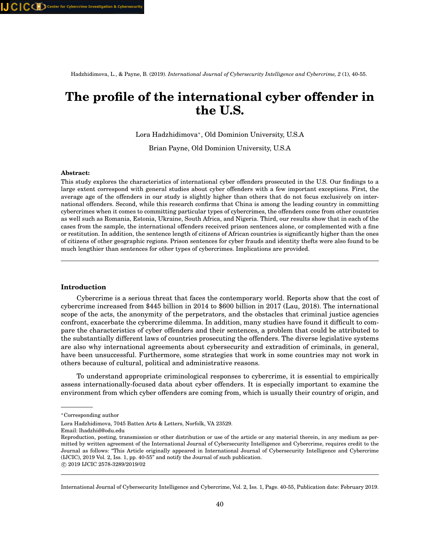Hadzhidimova, L., & Payne, B. (2019). *International Journal of Cybersecurity Intelligence and Cybercrime, 2* (1), 40-55.

# **The profile of the international cyber offender in the U.S.**

Lora Hadzhidimova<sup>∗</sup> , Old Dominion University, U.S.A

Brian Payne, Old Dominion University, U.S.A

# **Abstract:**

This study explores the characteristics of international cyber offenders prosecuted in the U.S. Our findings to a large extent correspond with general studies about cyber offenders with a few important exceptions. First, the average age of the offenders in our study is slightly higher than others that do not focus exclusively on international offenders. Second, while this research confirms that China is among the leading country in committing cybercrimes when it comes to committing particular types of cybercrimes, the offenders come from other countries as well such as Romania, Estonia, Ukraine, South Africa, and Nigeria. Third, our results show that in each of the cases from the sample, the international offenders received prison sentences alone, or complemented with a fine or restitution. In addition, the sentence length of citizens of African countries is significantly higher than the ones of citizens of other geographic regions. Prison sentences for cyber frauds and identity thefts were also found to be much lengthier than sentences for other types of cybercrimes. Implications are provided.

#### **Introduction**

Cybercrime is a serious threat that faces the contemporary world. Reports show that the cost of cybercrime increased from \$445 billion in 2014 to \$600 billion in 2017 (Lau, 2018). The international scope of the acts, the anonymity of the perpetrators, and the obstacles that criminal justice agencies confront, exacerbate the cybercrime dilemma. In addition, many studies have found it difficult to compare the characteristics of cyber offenders and their sentences, a problem that could be attributed to the substantially different laws of countries prosecuting the offenders. The diverse legislative systems are also why international agreements about cybersecurity and extradition of criminals, in general, have been unsuccessful. Furthermore, some strategies that work in some countries may not work in others because of cultural, political and administrative reasons.

To understand appropriate criminological responses to cybercrime, it is essential to empirically assess internationally-focused data about cyber offenders. It is especially important to examine the environment from which cyber offenders are coming from, which is usually their country of origin, and

Email: lhadzhid@odu.edu

International Journal of Cybersecurity Intelligence and Cybercrime, Vol. 2, Iss. 1, Page. 40-55, Publication date: February 2019.

<sup>∗</sup>Corresponding author

Lora Hadzhidimova, 7045 Batten Arts & Letters, Norfolk, VA 23529.

Reproduction, posting, transmission or other distribution or use of the article or any material therein, in any medium as permitted by written agreement of the International Journal of Cybersecurity Intelligence and Cybercrime, requires credit to the Journal as follows: "This Article originally appeared in International Journal of Cybersecurity Intelligence and Cybercrime (IJCIC), 2019 Vol. 2, Iss. 1, pp. 40-55" and notify the Journal of such publication. c 2019 IJCIC 2578-3289/2019/02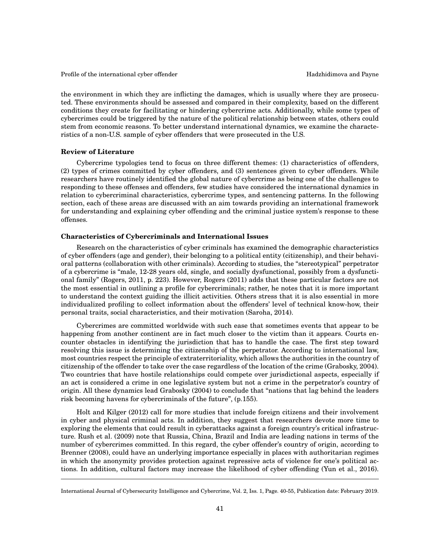the environment in which they are inflicting the damages, which is usually where they are prosecuted. These environments should be assessed and compared in their complexity, based on the different conditions they create for facilitating or hindering cybercrime acts. Additionally, while some types of cybercrimes could be triggered by the nature of the political relationship between states, others could stem from economic reasons. To better understand international dynamics, we examine the characteristics of a non-U.S. sample of cyber offenders that were prosecuted in the U.S.

# **Review of Literature**

Cybercrime typologies tend to focus on three different themes: (1) characteristics of offenders, (2) types of crimes committed by cyber offenders, and (3) sentences given to cyber offenders. While researchers have routinely identified the global nature of cybercrime as being one of the challenges to responding to these offenses and offenders, few studies have considered the international dynamics in relation to cybercriminal characteristics, cybercrime types, and sentencing patterns. In the following section, each of these areas are discussed with an aim towards providing an international framework for understanding and explaining cyber offending and the criminal justice system's response to these offenses.

# **Characteristics of Cybercriminals and International Issues**

Research on the characteristics of cyber criminals has examined the demographic characteristics of cyber offenders (age and gender), their belonging to a political entity (citizenship), and their behavioral patterns (collaboration with other criminals). According to studies, the "stereotypical" perpetrator of a cybercrime is "male, 12-28 years old, single, and socially dysfunctional, possibly from a dysfunctional family" (Rogers, 2011, p. 223). However, Rogers (2011) adds that these particular factors are not the most essential in outlining a profile for cybercriminals; rather, he notes that it is more important to understand the context guiding the illicit activities. Others stress that it is also essential in more individualized profiling to collect information about the offenders' level of technical know-how, their personal traits, social characteristics, and their motivation (Saroha, 2014).

Cybercrimes are committed worldwide with such ease that sometimes events that appear to be happening from another continent are in fact much closer to the victim than it appears. Courts encounter obstacles in identifying the jurisdiction that has to handle the case. The first step toward resolving this issue is determining the citizenship of the perpetrator. According to international law, most countries respect the principle of extraterritoriality, which allows the authorities in the country of citizenship of the offender to take over the case regardless of the location of the crime (Grabosky, 2004). Two countries that have hostile relationships could compete over jurisdictional aspects, especially if an act is considered a crime in one legislative system but not a crime in the perpetrator's country of origin. All these dynamics lead Grabosky (2004) to conclude that "nations that lag behind the leaders risk becoming havens for cybercriminals of the future", (p.155).

Holt and Kilger (2012) call for more studies that include foreign citizens and their involvement in cyber and physical criminal acts. In addition, they suggest that researchers devote more time to exploring the elements that could result in cyberattacks against a foreign country's critical infrastructure. Rush et al. (2009) note that Russia, China, Brazil and India are leading nations in terms of the number of cybercrimes committed. In this regard, the cyber offender's country of origin, according to Brenner (2008), could have an underlying importance especially in places with authoritarian regimes in which the anonymity provides protection against repressive acts of violence for one's political actions. In addition, cultural factors may increase the likelihood of cyber offending (Yun et al., 2016).

International Journal of Cybersecurity Intelligence and Cybercrime, Vol. 2, Iss. 1, Page. 40-55, Publication date: February 2019.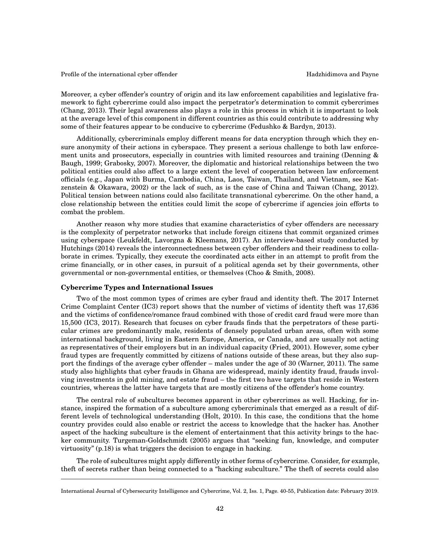Moreover, a cyber offender's country of origin and its law enforcement capabilities and legislative framework to fight cybercrime could also impact the perpetrator's determination to commit cybercrimes (Chang, 2013). Their legal awareness also plays a role in this process in which it is important to look at the average level of this component in different countries as this could contribute to addressing why some of their features appear to be conducive to cybercrime (Fedushko & Bardyn, 2013).

Additionally, cybercriminals employ different means for data encryption through which they ensure anonymity of their actions in cyberspace. They present a serious challenge to both law enforcement units and prosecutors, especially in countries with limited resources and training (Denning & Baugh, 1999; Grabosky, 2007). Moreover, the diplomatic and historical relationships between the two political entities could also affect to a large extent the level of cooperation between law enforcement officials (e.g., Japan with Burma, Cambodia, China, Laos, Taiwan, Thailand, and Vietnam, see Katzenstein & Okawara, 2002) or the lack of such, as is the case of China and Taiwan (Chang, 2012). Political tension between nations could also facilitate transnational cybercrime. On the other hand, a close relationship between the entities could limit the scope of cybercrime if agencies join efforts to combat the problem.

Another reason why more studies that examine characteristics of cyber offenders are necessary is the complexity of perpetrator networks that include foreign citizens that commit organized crimes using cyberspace (Leukfeldt, Lavorgna & Kleemans, 2017). An interview-based study conducted by Hutchings (2014) reveals the interconnectedness between cyber offenders and their readiness to collaborate in crimes. Typically, they execute the coordinated acts either in an attempt to profit from the crime financially, or in other cases, in pursuit of a political agenda set by their governments, other governmental or non-governmental entities, or themselves (Choo & Smith, 2008).

# **Cybercrime Types and International Issues**

Two of the most common types of crimes are cyber fraud and identity theft. The 2017 Internet Crime Complaint Center (IC3) report shows that the number of victims of identity theft was 17,636 and the victims of confidence/romance fraud combined with those of credit card fraud were more than 15,500 (IC3, 2017). Research that focuses on cyber frauds finds that the perpetrators of these particular crimes are predominantly male, residents of densely populated urban areas, often with some international background, living in Eastern Europe, America, or Canada, and are usually not acting as representatives of their employers but in an individual capacity (Fried, 2001). However, some cyber fraud types are frequently committed by citizens of nations outside of these areas, but they also support the findings of the average cyber offender – males under the age of 30 (Warner, 2011). The same study also highlights that cyber frauds in Ghana are widespread, mainly identity fraud, frauds involving investments in gold mining, and estate fraud – the first two have targets that reside in Western countries, whereas the latter have targets that are mostly citizens of the offender's home country.

The central role of subcultures becomes apparent in other cybercrimes as well. Hacking, for instance, inspired the formation of a subculture among cybercriminals that emerged as a result of different levels of technological understanding (Holt, 2010). In this case, the conditions that the home country provides could also enable or restrict the access to knowledge that the hacker has. Another aspect of the hacking subculture is the element of entertainment that this activity brings to the hacker community. Turgeman-Goldschmidt (2005) argues that "seeking fun, knowledge, and computer virtuosity" (p.18) is what triggers the decision to engage in hacking.

The role of subcultures might apply differently in other forms of cybercrime. Consider, for example, theft of secrets rather than being connected to a "hacking subculture." The theft of secrets could also

International Journal of Cybersecurity Intelligence and Cybercrime, Vol. 2, Iss. 1, Page. 40-55, Publication date: February 2019.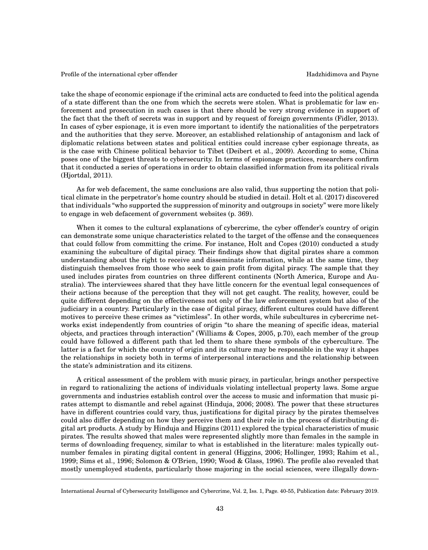take the shape of economic espionage if the criminal acts are conducted to feed into the political agenda of a state different than the one from which the secrets were stolen. What is problematic for law enforcement and prosecution in such cases is that there should be very strong evidence in support of the fact that the theft of secrets was in support and by request of foreign governments (Fidler, 2013). In cases of cyber espionage, it is even more important to identify the nationalities of the perpetrators and the authorities that they serve. Moreover, an established relationship of antagonism and lack of diplomatic relations between states and political entities could increase cyber espionage threats, as is the case with Chinese political behavior to Tibet (Deibert et al., 2009). According to some, China poses one of the biggest threats to cybersecurity. In terms of espionage practices, researchers confirm that it conducted a series of operations in order to obtain classified information from its political rivals (Hjortdal, 2011).

As for web defacement, the same conclusions are also valid, thus supporting the notion that political climate in the perpetrator's home country should be studied in detail. Holt et al. (2017) discovered that individuals "who supported the suppression of minority and outgroups in society" were more likely to engage in web defacement of government websites (p. 369).

When it comes to the cultural explanations of cybercrime, the cyber offender's country of origin can demonstrate some unique characteristics related to the target of the offense and the consequences that could follow from committing the crime. For instance, Holt and Copes (2010) conducted a study examining the subculture of digital piracy. Their findings show that digital pirates share a common understanding about the right to receive and disseminate information, while at the same time, they distinguish themselves from those who seek to gain profit from digital piracy. The sample that they used includes pirates from countries on three different continents (North America, Europe and Australia). The interviewees shared that they have little concern for the eventual legal consequences of their actions because of the perception that they will not get caught. The reality, however, could be quite different depending on the effectiveness not only of the law enforcement system but also of the judiciary in a country. Particularly in the case of digital piracy, different cultures could have different motives to perceive these crimes as "victimless". In other words, while subcultures in cybercrime networks exist independently from countries of origin "to share the meaning of specific ideas, material objects, and practices through interaction" (Williams & Copes, 2005, p.70), each member of the group could have followed a different path that led them to share these symbols of the cyberculture. The latter is a fact for which the country of origin and its culture may be responsible in the way it shapes the relationships in society both in terms of interpersonal interactions and the relationship between the state's administration and its citizens.

A critical assessment of the problem with music piracy, in particular, brings another perspective in regard to rationalizing the actions of individuals violating intellectual property laws. Some argue governments and industries establish control over the access to music and information that music pirates attempt to dismantle and rebel against (Hinduja, 2006; 2008). The power that these structures have in different countries could vary, thus, justifications for digital piracy by the pirates themselves could also differ depending on how they perceive them and their role in the process of distributing digital art products. A study by Hinduja and Higgins (2011) explored the typical characteristics of music pirates. The results showed that males were represented slightly more than females in the sample in terms of downloading frequency, similar to what is established in the literature: males typically outnumber females in pirating digital content in general (Higgins, 2006; Hollinger, 1993; Rahim et al., 1999; Sims et al., 1996; Solomon & O'Brien, 1990; Wood & Glass, 1996). The profile also revealed that mostly unemployed students, particularly those majoring in the social sciences, were illegally down-

International Journal of Cybersecurity Intelligence and Cybercrime, Vol. 2, Iss. 1, Page. 40-55, Publication date: February 2019.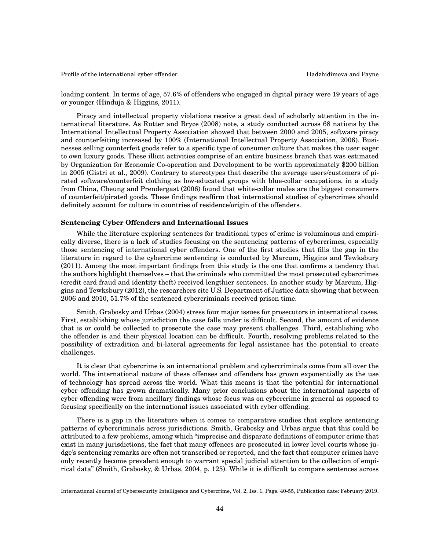loading content. In terms of age, 57.6% of offenders who engaged in digital piracy were 19 years of age or younger (Hinduja & Higgins, 2011).

Piracy and intellectual property violations receive a great deal of scholarly attention in the international literature. As Rutter and Bryce (2008) note, a study conducted across 68 nations by the International Intellectual Property Association showed that between 2000 and 2005, software piracy and counterfeiting increased by 100% (International Intellectual Property Association, 2006). Businesses selling counterfeit goods refer to a specific type of consumer culture that makes the user eager to own luxury goods. These illicit activities comprise of an entire business branch that was estimated by Organization for Economic Co-operation and Development to be worth approximately \$200 billion in 2005 (Gistri et al., 2009). Contrary to stereotypes that describe the average users/customers of pirated software/counterfeit clothing as low-educated groups with blue-collar occupations, in a study from China, Cheung and Prendergast (2006) found that white-collar males are the biggest consumers of counterfeit/pirated goods. These findings reaffirm that international studies of cybercrimes should definitely account for culture in countries of residence/origin of the offenders.

# **Sentencing Cyber Offenders and International Issues**

While the literature exploring sentences for traditional types of crime is voluminous and empirically diverse, there is a lack of studies focusing on the sentencing patterns of cybercrimes, especially those sentencing of international cyber offenders. One of the first studies that fills the gap in the literature in regard to the cybercrime sentencing is conducted by Marcum, Higgins and Tewksbury (2011). Among the most important findings from this study is the one that confirms a tendency that the authors highlight themselves – that the criminals who committed the most prosecuted cybercrimes (credit card fraud and identity theft) received lengthier sentences. In another study by Marcum, Higgins and Tewksbury (2012), the researchers cite U.S. Department of Justice data showing that between 2006 and 2010, 51.7% of the sentenced cybercriminals received prison time.

Smith, Grabosky and Urbas (2004) stress four major issues for prosecutors in international cases. First, establishing whose jurisdiction the case falls under is difficult. Second, the amount of evidence that is or could be collected to prosecute the case may present challenges. Third, establishing who the offender is and their physical location can be difficult. Fourth, resolving problems related to the possibility of extradition and bi-lateral agreements for legal assistance has the potential to create challenges.

It is clear that cybercrime is an international problem and cybercriminals come from all over the world. The international nature of these offenses and offenders has grown exponentially as the use of technology has spread across the world. What this means is that the potential for international cyber offending has grown dramatically. Many prior conclusions about the international aspects of cyber offending were from ancillary findings whose focus was on cybercrime in general as opposed to focusing specifically on the international issues associated with cyber offending.

There is a gap in the literature when it comes to comparative studies that explore sentencing patterns of cybercriminals across jurisdictions. Smith, Grabosky and Urbas argue that this could be attributed to a few problems, among which "imprecise and disparate definitions of computer crime that exist in many jurisdictions, the fact that many offences are prosecuted in lower level courts whose judge's sentencing remarks are often not transcribed or reported, and the fact that computer crimes have only recently become prevalent enough to warrant special judicial attention to the collection of empirical data" (Smith, Grabosky, & Urbas, 2004, p. 125). While it is difficult to compare sentences across

International Journal of Cybersecurity Intelligence and Cybercrime, Vol. 2, Iss. 1, Page. 40-55, Publication date: February 2019.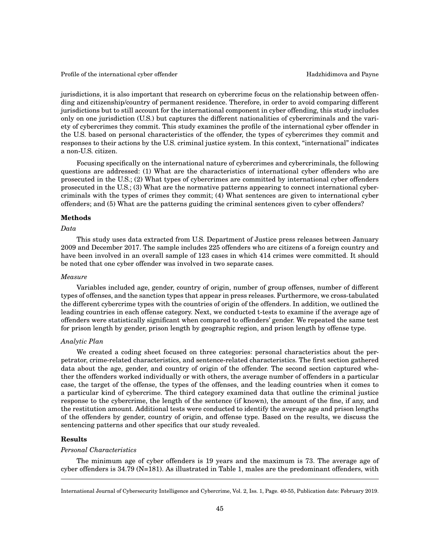jurisdictions, it is also important that research on cybercrime focus on the relationship between offending and citizenship/country of permanent residence. Therefore, in order to avoid comparing different jurisdictions but to still account for the international component in cyber offending, this study includes only on one jurisdiction (U.S.) but captures the different nationalities of cybercriminals and the variety of cybercrimes they commit. This study examines the profile of the international cyber offender in the U.S. based on personal characteristics of the offender, the types of cybercrimes they commit and responses to their actions by the U.S. criminal justice system. In this context, "international" indicates a non-U.S. citizen.

Focusing specifically on the international nature of cybercrimes and cybercriminals, the following questions are addressed: (1) What are the characteristics of international cyber offenders who are prosecuted in the U.S.; (2) What types of cybercrimes are committed by international cyber offenders prosecuted in the U.S.; (3) What are the normative patterns appearing to connect international cybercriminals with the types of crimes they commit; (4) What sentences are given to international cyber offenders; and (5) What are the patterns guiding the criminal sentences given to cyber offenders?

# **Methods**

#### *Data*

This study uses data extracted from U.S. Department of Justice press releases between January 2009 and December 2017. The sample includes 225 offenders who are citizens of a foreign country and have been involved in an overall sample of 123 cases in which 414 crimes were committed. It should be noted that one cyber offender was involved in two separate cases.

#### *Measure*

Variables included age, gender, country of origin, number of group offenses, number of different types of offenses, and the sanction types that appear in press releases. Furthermore, we cross-tabulated the different cybercrime types with the countries of origin of the offenders. In addition, we outlined the leading countries in each offense category. Next, we conducted t-tests to examine if the average age of offenders were statistically significant when compared to offenders' gender. We repeated the same test for prison length by gender, prison length by geographic region, and prison length by offense type.

# *Analytic Plan*

We created a coding sheet focused on three categories: personal characteristics about the perpetrator, crime-related characteristics, and sentence-related characteristics. The first section gathered data about the age, gender, and country of origin of the offender. The second section captured whether the offenders worked individually or with others, the average number of offenders in a particular case, the target of the offense, the types of the offenses, and the leading countries when it comes to a particular kind of cybercrime. The third category examined data that outline the criminal justice response to the cybercrime, the length of the sentence (if known), the amount of the fine, if any, and the restitution amount. Additional tests were conducted to identify the average age and prison lengths of the offenders by gender, country of origin, and offense type. Based on the results, we discuss the sentencing patterns and other specifics that our study revealed.

# **Results**

# *Personal Characteristics*

The minimum age of cyber offenders is 19 years and the maximum is 73. The average age of cyber offenders is 34.79 (N=181). As illustrated in Table 1, males are the predominant offenders, with

International Journal of Cybersecurity Intelligence and Cybercrime, Vol. 2, Iss. 1, Page. 40-55, Publication date: February 2019.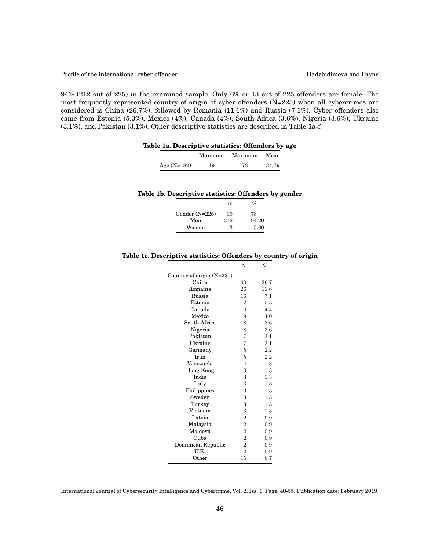94% (212 out of 225) in the examined sample. Only 6% or 13 out of 225 offenders are female. The most frequently represented country of origin of cyber offenders (N=225) when all cybercrimes are considered is China (26.7%), followed by Romania (11.6%) and Russia (7.1%). Cyber offenders also came from Estonia (5.3%), Mexico (4%), Canada (4%), South Africa (3.6%), Nigeria (3.6%), Ukraine (3.1%), and Pakistan (3.1%). Other descriptive statistics are described in Table 1a-f.

| Table 1a. Descriptive statistics: Offenders by age |  |  |  |  |
|----------------------------------------------------|--|--|--|--|
|----------------------------------------------------|--|--|--|--|

|               | Minimum | Maximum | Mean  |
|---------------|---------|---------|-------|
| Age $(N=182)$ | 19      | 73      | 34.79 |

#### **Table 1b. Descriptive statistics: Offenders by gender**

|                  | N   | $\mathcal{O}_D$ |
|------------------|-----|-----------------|
| Gender $(N=225)$ | 19  | 73              |
| Men              | 212 | 94.20           |
| Women            | 13  | 5.80            |

# **Table 1c. Descriptive statistics: Offenders by country of origin**

|                             | N              | %       |
|-----------------------------|----------------|---------|
| Country of origin $(N=225)$ |                |         |
| China                       | 60             | 26.7    |
| Romania                     | 26             | 11.6    |
| Russia                      | 16             | 7.1     |
| Estonia                     | 12             | 5.3     |
| Canada                      | 10             | 4.4     |
| Mexico                      | 9              | 4.0     |
| South Africa                | 8              | 3.6     |
| Nigeria                     | 8              | 3.6     |
| Pakistan                    | $\overline{7}$ | 3.1     |
| Ukraine                     | $\overline{7}$ | 3.1     |
| Germany                     | 5              | 2.2     |
| Iran                        | 5              | 2.2     |
| Venezuela                   | $\overline{4}$ | 1.8     |
| <b>Hong Kong</b>            | 3              | 1.3     |
| India                       | 3              | 1.3     |
| Italy                       | 3              | $1.3\,$ |
| Philippines                 | 3              | 1.3     |
| Sweden                      | 3              | 1.3     |
| Turkey                      | 3              | 1.3     |
| Vietnam                     | 3              | 1.3     |
| Latvia                      | $\overline{2}$ | 0.9     |
| Malaysia                    | $\overline{2}$ | 0.9     |
| Moldova                     | $\overline{2}$ | 0.9     |
| Cuba                        | $\overline{2}$ | 0.9     |
| Dominican Republic          | $\overline{2}$ | 0.9     |
| U.K.                        | $\overline{2}$ | 0.9     |
| Other                       | 15             | 6.7     |

International Journal of Cybersecurity Intelligence and Cybercrime, Vol. 2, Iss. 1, Page. 40-55, Publication date: February 2019.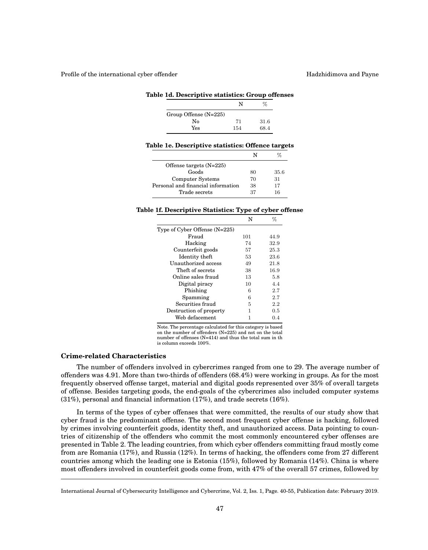Profile of the international cyber offender **Hadzhidimova** and Payne

|                         | N   | ℀    |
|-------------------------|-----|------|
| Group Offense $(N=225)$ |     |      |
| No                      | 71  | 31.6 |
| Yes                     | 154 | 68.4 |

#### **Table 1d. Descriptive statistics: Group offenses**

|  |  | Table 1e. Descriptive statistics: Offence targets |  |  |  |
|--|--|---------------------------------------------------|--|--|--|
|--|--|---------------------------------------------------|--|--|--|

| Offense targets $(N=225)$          |    |      |
|------------------------------------|----|------|
| Goods                              | 80 | 35.6 |
| Computer Systems                   | 70 | 31   |
| Personal and financial information | 38 | 17   |
| Trade secrets                      | 37 | 16   |
|                                    |    |      |

# **Table 1f. Descriptive Statistics: Type of cyber offense**

|                               | N   | %       |
|-------------------------------|-----|---------|
| Type of Cyber Offense (N=225) |     |         |
| Fraud                         | 101 | 44.9    |
| Hacking                       | 74  | 32.9    |
| Counterfeit goods             | 57  | 25.3    |
| Identity theft                | 53  | 23.6    |
| Unauthorized access           | 49  | 21.8    |
| Theft of secrets              | 38  | 16.9    |
| Online sales fraud            | 13  | 5.8     |
| Digital piracy                | 10  | 4.4     |
| Phishing                      | 6   | 2.7     |
| Spamming                      | 6   | 2.7     |
| Securities fraud              | 5   | 2.2     |
| Destruction of property       | 1   | $0.5\,$ |
| Web defacement                | 1   | 0.4     |
|                               |     |         |

Note. The percentage calculated for this category is based on the number of offenders (N=225) and not on the total number of offenses (N=414) and thus the total sum in th is column exceeds 100%.

# **Crime-related Characteristics**

The number of offenders involved in cybercrimes ranged from one to 29. The average number of offenders was 4.91. More than two-thirds of offenders (68.4%) were working in groups. As for the most frequently observed offense target, material and digital goods represented over 35% of overall targets of offense. Besides targeting goods, the end-goals of the cybercrimes also included computer systems (31%), personal and financial information (17%), and trade secrets (16%).

In terms of the types of cyber offenses that were committed, the results of our study show that cyber fraud is the predominant offense. The second most frequent cyber offense is hacking, followed by crimes involving counterfeit goods, identity theft, and unauthorized access. Data pointing to countries of citizenship of the offenders who commit the most commonly encountered cyber offenses are presented in Table 2. The leading countries, from which cyber offenders committing fraud mostly come from are Romania (17%), and Russia (12%). In terms of hacking, the offenders come from 27 different countries among which the leading one is Estonia (15%), followed by Romania (14%). China is where most offenders involved in counterfeit goods come from, with 47% of the overall 57 crimes, followed by

International Journal of Cybersecurity Intelligence and Cybercrime, Vol. 2, Iss. 1, Page. 40-55, Publication date: February 2019.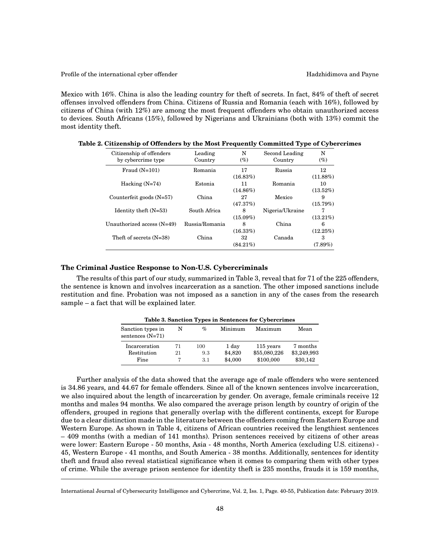Mexico with 16%. China is also the leading country for theft of secrets. In fact, 84% of theft of secret offenses involved offenders from China. Citizens of Russia and Romania (each with 16%), followed by citizens of China (with 12%) are among the most frequent offenders who obtain unauthorized access to devices. South Africans (15%), followed by Nigerians and Ukrainians (both with 13%) commit the most identity theft.

| Citizenship of offenders<br>by cybercrime type | Leading<br>Country | N<br>$(\%)$       | Second Leading<br>Country | N<br>(%)          |
|------------------------------------------------|--------------------|-------------------|---------------------------|-------------------|
| Fraud $(N=101)$                                | Romania            | 17<br>(16.83%)    | Russia                    | 12<br>$(11.88\%)$ |
| Hacking $(N=74)$                               | Estonia            | 11<br>$(14.86\%)$ | Romania                   | 10<br>$(13.52\%)$ |
| Counterfeit goods $(N=57)$                     | China              | 27<br>(47.37%)    | Mexico                    | 9<br>(15.79%)     |
| Identity theft $(N=53)$                        | South Africa       | 8<br>$(15.09\%)$  | Nigeria/Ukraine           | $(13.21\%)$       |
| Unauthorized access $(N=49)$                   | Russia/Romania     | 8<br>(16.33%)     | China                     | 6<br>(12.25%)     |
| Theft of secrets $(N=38)$                      | China              | 32<br>$(84.21\%)$ | Canada                    | 3<br>$(7.89\%)$   |

**Table 2. Citizenship of Offenders by the Most Frequently Committed Type of Cybercrimes**

# **The Criminal Justice Response to Non-U.S. Cybercriminals**

The results of this part of our study, summarized in Table 3, reveal that for 71 of the 225 offenders, the sentence is known and involves incarceration as a sanction. The other imposed sanctions include restitution and fine. Probation was not imposed as a sanction in any of the cases from the research sample – a fact that will be explained later.

|                                         |    |     |         | Table 3. Sanction Types in Sentences for Cybercrimes |             |
|-----------------------------------------|----|-----|---------|------------------------------------------------------|-------------|
| Sanction types in<br>sentences $(N=71)$ | N  | %   | Minimum | Maximum                                              | Mean        |
| Incarceration                           | 71 | 100 | 1 day   | 115 years                                            | 7 months    |
| Restitution                             | 21 | 9.3 | \$4,820 | \$55,080,226                                         | \$3,249,993 |
| Fine                                    |    | 3.1 | \$4,000 | \$100,000                                            | \$30,142    |

**Table 3. Sanction Types in Sentences for Cybercrimes**

Further analysis of the data showed that the average age of male offenders who were sentenced is 34.86 years, and 44.67 for female offenders. Since all of the known sentences involve incarceration, we also inquired about the length of incarceration by gender. On average, female criminals receive 12 months and males 94 months. We also compared the average prison length by country of origin of the offenders, grouped in regions that generally overlap with the different continents, except for Europe due to a clear distinction made in the literature between the offenders coming from Eastern Europe and Western Europe. As shown in Table 4, citizens of African countries received the lengthiest sentences – 409 months (with a median of 141 months). Prison sentences received by citizens of other areas were lower: Eastern Europe - 50 months, Asia - 48 months, North America (excluding U.S. citizens) - 45, Western Europe - 41 months, and South America - 38 months. Additionally, sentences for identity theft and fraud also reveal statistical significance when it comes to comparing them with other types of crime. While the average prison sentence for identity theft is 235 months, frauds it is 159 months,

International Journal of Cybersecurity Intelligence and Cybercrime, Vol. 2, Iss. 1, Page. 40-55, Publication date: February 2019.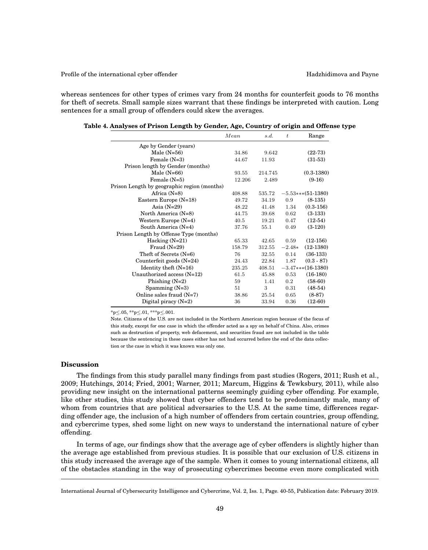Profile of the international cyber offender **Hadzhidimova** and Payne

whereas sentences for other types of crimes vary from 24 months for counterfeit goods to 76 months for theft of secrets. Small sample sizes warrant that these findings be interpreted with caution. Long sentences for a small group of offenders could skew the averages.

|                                             | Mean   | s.d.    | $\boldsymbol{t}$ | Range                |
|---------------------------------------------|--------|---------|------------------|----------------------|
| Age by Gender (years)                       |        |         |                  |                      |
| Male $(N=56)$                               | 34.86  | 9.642   |                  | $(22-73)$            |
| Female $(N=3)$                              | 44.67  | 11.93   |                  | $(31-53)$            |
| Prison length by Gender (months)            |        |         |                  |                      |
| Male $(N=66)$                               | 93.55  | 214.745 |                  | $(0.3 - 1380)$       |
| Female $(N=5)$                              | 12.206 | 2.489   |                  | $(9-16)$             |
| Prison Length by geographic region (months) |        |         |                  |                      |
| Africa $(N=8)$                              | 408.88 | 535.72  |                  | $-5.53***$ (51-1380) |
| Eastern Europe (N=18)                       | 49.72  | 34.19   | 0.9              | $(8-135)$            |
| Asia $(N=29)$                               | 48.22  | 41.48   | 1.34             | $(0.3-156)$          |
| North America (N=8)                         | 44.75  | 39.68   | 0.62             | $(3-133)$            |
| Western Europe $(N=4)$                      | 40.5   | 19.21   | 0.47             | $(12-54)$            |
| South America (N=4)                         | 37.76  | 55.1    | 0.49             | $(3-120)$            |
| Prison Length by Offense Type (months)      |        |         |                  |                      |
| Hacking $(N=21)$                            | 65.33  | 42.65   | 0.59             | $(12-156)$           |
| Fraud $(N=29)$                              | 158.79 | 312.55  | $-2.48*$         | $(12-1380)$          |
| Theft of Secrets $(N=6)$                    | 76     | 32.55   | 0.14             | $(36-133)$           |
| Counterfeit goods $(N=24)$                  | 24.43  | 22.84   | 1.87             | $(0.3 - 87)$         |
| Identity theft $(N=16)$                     | 235.25 | 408.51  |                  | $-3.47***(16-1380)$  |
| Unauthorized access $(N=12)$                | 61.5   | 45.88   | 0.53             | $(16-180)$           |
| Phishing $(N=2)$                            | 59     | 1.41    | 0.2              | $(58-60)$            |
| Spamming $(N=3)$                            | 51     | 3       | 0.31             | $(48-54)$            |
| Online sales fraud $(N=7)$                  | 38.86  | 25.54   | 0.65             | $(8-87)$             |
| Digital piracy $(N=2)$                      | 36     | 33.94   | 0.36             | $(12-60)$            |

**Table 4. Analyses of Prison Length by Gender, Age, Country of origin and Offense type**

\*p≤.05, \*\*p≤.01, \*\*\*p≤.001.

Note. Citizens of the U.S. are not included in the Northern American region because of the focus of this study, except for one case in which the offender acted as a spy on behalf of China. Also, crimes such as destruction of property, web defacement, and securities fraud are not included in the table because the sentencing in these cases either has not had occurred before the end of the data collection or the case in which it was known was only one.

# **Discussion**

The findings from this study parallel many findings from past studies (Rogers, 2011; Rush et al., 2009; Hutchings, 2014; Fried, 2001; Warner, 2011; Marcum, Higgins & Tewksbury, 2011), while also providing new insight on the international patterns seemingly guiding cyber offending. For example, like other studies, this study showed that cyber offenders tend to be predominantly male, many of whom from countries that are political adversaries to the U.S. At the same time, differences regarding offender age, the inclusion of a high number of offenders from certain countries, group offending, and cybercrime types, shed some light on new ways to understand the international nature of cyber offending.

In terms of age, our findings show that the average age of cyber offenders is slightly higher than the average age established from previous studies. It is possible that our exclusion of U.S. citizens in this study increased the average age of the sample. When it comes to young international citizens, all of the obstacles standing in the way of prosecuting cybercrimes become even more complicated with

International Journal of Cybersecurity Intelligence and Cybercrime, Vol. 2, Iss. 1, Page. 40-55, Publication date: February 2019.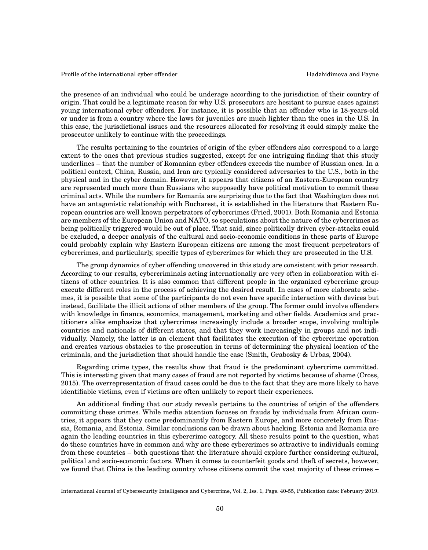the presence of an individual who could be underage according to the jurisdiction of their country of origin. That could be a legitimate reason for why U.S. prosecutors are hesitant to pursue cases against young international cyber offenders. For instance, it is possible that an offender who is 18-years-old or under is from a country where the laws for juveniles are much lighter than the ones in the U.S. In this case, the jurisdictional issues and the resources allocated for resolving it could simply make the prosecutor unlikely to continue with the proceedings.

The results pertaining to the countries of origin of the cyber offenders also correspond to a large extent to the ones that previous studies suggested, except for one intriguing finding that this study underlines – that the number of Romanian cyber offenders exceeds the number of Russian ones. In a political context, China, Russia, and Iran are typically considered adversaries to the U.S., both in the physical and in the cyber domain. However, it appears that citizens of an Eastern-European country are represented much more than Russians who supposedly have political motivation to commit these criminal acts. While the numbers for Romania are surprising due to the fact that Washington does not have an antagonistic relationship with Bucharest, it is established in the literature that Eastern European countries are well known perpetrators of cybercrimes (Fried, 2001). Both Romania and Estonia are members of the European Union and NATO, so speculations about the nature of the cybercrimes as being politically triggered would be out of place. That said, since politically driven cyber-attacks could be excluded, a deeper analysis of the cultural and socio-economic conditions in these parts of Europe could probably explain why Eastern European citizens are among the most frequent perpetrators of cybercrimes, and particularly, specific types of cybercrimes for which they are prosecuted in the U.S.

The group dynamics of cyber offending uncovered in this study are consistent with prior research. According to our results, cybercriminals acting internationally are very often in collaboration with citizens of other countries. It is also common that different people in the organized cybercrime group execute different roles in the process of achieving the desired result. In cases of more elaborate schemes, it is possible that some of the participants do not even have specific interaction with devices but instead, facilitate the illicit actions of other members of the group. The former could involve offenders with knowledge in finance, economics, management, marketing and other fields. Academics and practitioners alike emphasize that cybercrimes increasingly include a broader scope, involving multiple countries and nationals of different states, and that they work increasingly in groups and not individually. Namely, the latter is an element that facilitates the execution of the cybercrime operation and creates various obstacles to the prosecution in terms of determining the physical location of the criminals, and the jurisdiction that should handle the case (Smith, Grabosky & Urbas, 2004).

Regarding crime types, the results show that fraud is the predominant cybercrime committed. This is interesting given that many cases of fraud are not reported by victims because of shame (Cross, 2015). The overrepresentation of fraud cases could be due to the fact that they are more likely to have identifiable victims, even if victims are often unlikely to report their experiences.

An additional finding that our study reveals pertains to the countries of origin of the offenders committing these crimes. While media attention focuses on frauds by individuals from African countries, it appears that they come predominantly from Eastern Europe, and more concretely from Russia, Romania, and Estonia. Similar conclusions can be drawn about hacking. Estonia and Romania are again the leading countries in this cybercrime category. All these results point to the question, what do these countries have in common and why are these cybercrimes so attractive to individuals coming from these countries – both questions that the literature should explore further considering cultural, political and socio-economic factors. When it comes to counterfeit goods and theft of secrets, however, we found that China is the leading country whose citizens commit the vast majority of these crimes –

International Journal of Cybersecurity Intelligence and Cybercrime, Vol. 2, Iss. 1, Page. 40-55, Publication date: February 2019.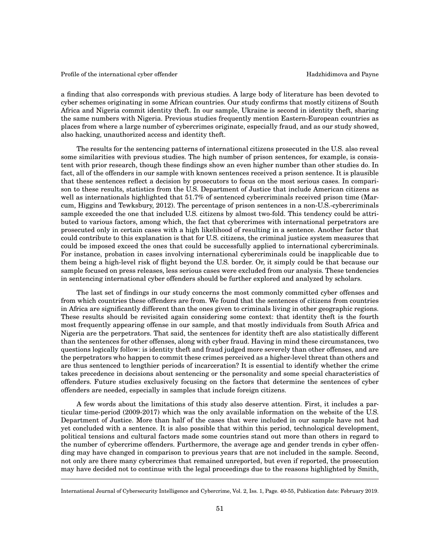a finding that also corresponds with previous studies. A large body of literature has been devoted to cyber schemes originating in some African countries. Our study confirms that mostly citizens of South Africa and Nigeria commit identity theft. In our sample, Ukraine is second in identity theft, sharing the same numbers with Nigeria. Previous studies frequently mention Eastern-European countries as places from where a large number of cybercrimes originate, especially fraud, and as our study showed, also hacking, unauthorized access and identity theft.

The results for the sentencing patterns of international citizens prosecuted in the U.S. also reveal some similarities with previous studies. The high number of prison sentences, for example, is consistent with prior research, though these findings show an even higher number than other studies do. In fact, all of the offenders in our sample with known sentences received a prison sentence. It is plausible that these sentences reflect a decision by prosecutors to focus on the most serious cases. In comparison to these results, statistics from the U.S. Department of Justice that include American citizens as well as internationals highlighted that 51.7% of sentenced cybercriminals received prison time (Marcum, Higgins and Tewksbury, 2012). The percentage of prison sentences in a non-U.S.-cybercriminals sample exceeded the one that included U.S. citizens by almost two-fold. This tendency could be attributed to various factors, among which, the fact that cybercrimes with international perpetrators are prosecuted only in certain cases with a high likelihood of resulting in a sentence. Another factor that could contribute to this explanation is that for U.S. citizens, the criminal justice system measures that could be imposed exceed the ones that could be successfully applied to international cybercriminals. For instance, probation in cases involving international cybercriminals could be inapplicable due to them being a high-level risk of flight beyond the U.S. border. Or, it simply could be that because our sample focused on press releases, less serious cases were excluded from our analysis. These tendencies in sentencing international cyber offenders should be further explored and analyzed by scholars.

The last set of findings in our study concerns the most commonly committed cyber offenses and from which countries these offenders are from. We found that the sentences of citizens from countries in Africa are significantly different than the ones given to criminals living in other geographic regions. These results should be revisited again considering some context: that identity theft is the fourth most frequently appearing offense in our sample, and that mostly individuals from South Africa and Nigeria are the perpetrators. That said, the sentences for identity theft are also statistically different than the sentences for other offenses, along with cyber fraud. Having in mind these circumstances, two questions logically follow: is identity theft and fraud judged more severely than other offenses, and are the perpetrators who happen to commit these crimes perceived as a higher-level threat than others and are thus sentenced to lengthier periods of incarceration? It is essential to identify whether the crime takes precedence in decisions about sentencing or the personality and some special characteristics of offenders. Future studies exclusively focusing on the factors that determine the sentences of cyber offenders are needed, especially in samples that include foreign citizens.

A few words about the limitations of this study also deserve attention. First, it includes a particular time-period (2009-2017) which was the only available information on the website of the U.S. Department of Justice. More than half of the cases that were included in our sample have not had yet concluded with a sentence. It is also possible that within this period, technological development, political tensions and cultural factors made some countries stand out more than others in regard to the number of cybercrime offenders. Furthermore, the average age and gender trends in cyber offending may have changed in comparison to previous years that are not included in the sample. Second, not only are there many cybercrimes that remained unreported, but even if reported, the prosecution may have decided not to continue with the legal proceedings due to the reasons highlighted by Smith,

International Journal of Cybersecurity Intelligence and Cybercrime, Vol. 2, Iss. 1, Page. 40-55, Publication date: February 2019.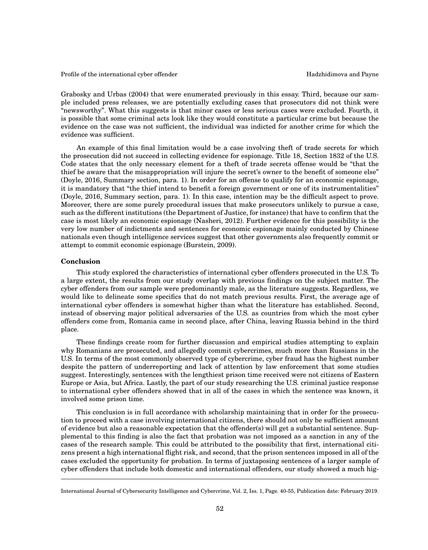Grabosky and Urbas (2004) that were enumerated previously in this essay. Third, because our sample included press releases, we are potentially excluding cases that prosecutors did not think were "newsworthy". What this suggests is that minor cases or less serious cases were excluded. Fourth, it is possible that some criminal acts look like they would constitute a particular crime but because the evidence on the case was not sufficient, the individual was indicted for another crime for which the evidence was sufficient.

An example of this final limitation would be a case involving theft of trade secrets for which the prosecution did not succeed in collecting evidence for espionage. Title 18, Section 1832 of the U.S. Code states that the only necessary element for a theft of trade secrets offense would be "that the thief be aware that the misappropriation will injure the secret's owner to the benefit of someone else" (Doyle, 2016, Summary section, para. 1). In order for an offense to qualify for an economic espionage, it is mandatory that "the thief intend to benefit a foreign government or one of its instrumentalities" (Doyle, 2016, Summary section, para. 1). In this case, intention may be the difficult aspect to prove. Moreover, there are some purely procedural issues that make prosecutors unlikely to pursue a case, such as the different institutions (the Department of Justice, for instance) that have to confirm that the case is most likely an economic espionage (Nasheri, 2012). Further evidence for this possibility is the very low number of indictments and sentences for economic espionage mainly conducted by Chinese nationals even though intelligence services suggest that other governments also frequently commit or attempt to commit economic espionage (Burstein, 2009).

# **Conclusion**

This study explored the characteristics of international cyber offenders prosecuted in the U.S. To a large extent, the results from our study overlap with previous findings on the subject matter. The cyber offenders from our sample were predominantly male, as the literature suggests. Regardless, we would like to delineate some specifics that do not match previous results. First, the average age of international cyber offenders is somewhat higher than what the literature has established. Second, instead of observing major political adversaries of the U.S. as countries from which the most cyber offenders come from, Romania came in second place, after China, leaving Russia behind in the third place.

These findings create room for further discussion and empirical studies attempting to explain why Romanians are prosecuted, and allegedly commit cybercrimes, much more than Russians in the U.S. In terms of the most commonly observed type of cybercrime, cyber fraud has the highest number despite the pattern of underreporting and lack of attention by law enforcement that some studies suggest. Interestingly, sentences with the lengthiest prison time received were not citizens of Eastern Europe or Asia, but Africa. Lastly, the part of our study researching the U.S. criminal justice response to international cyber offenders showed that in all of the cases in which the sentence was known, it involved some prison time.

This conclusion is in full accordance with scholarship maintaining that in order for the prosecution to proceed with a case involving international citizens, there should not only be sufficient amount of evidence but also a reasonable expectation that the offender(s) will get a substantial sentence. Supplemental to this finding is also the fact that probation was not imposed as a sanction in any of the cases of the research sample. This could be attributed to the possibility that first, international citizens present a high international flight risk, and second, that the prison sentences imposed in all of the cases excluded the opportunity for probation. In terms of juxtaposing sentences of a larger sample of cyber offenders that include both domestic and international offenders, our study showed a much hig-

International Journal of Cybersecurity Intelligence and Cybercrime, Vol. 2, Iss. 1, Page. 40-55, Publication date: February 2019.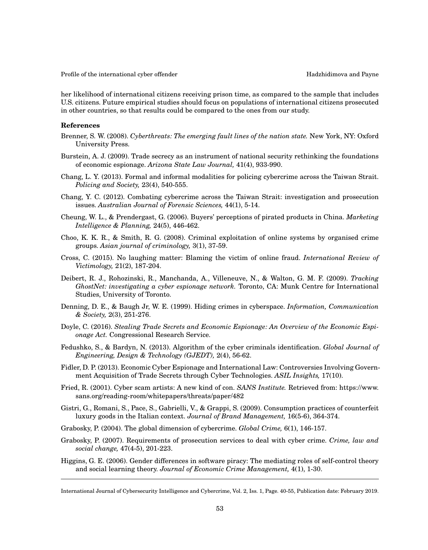her likelihood of international citizens receiving prison time, as compared to the sample that includes U.S. citizens. Future empirical studies should focus on populations of international citizens prosecuted in other countries, so that results could be compared to the ones from our study.

# **References**

- Brenner, S. W. (2008). *Cyberthreats: The emerging fault lines of the nation state.* New York, NY: Oxford University Press.
- Burstein, A. J. (2009). Trade secrecy as an instrument of national security rethinking the foundations of economic espionage. *Arizona State Law Journal,* 41(4), 933-990.
- Chang, L. Y. (2013). Formal and informal modalities for policing cybercrime across the Taiwan Strait. *Policing and Society,* 23(4), 540-555.
- Chang, Y. C. (2012). Combating cybercrime across the Taiwan Strait: investigation and prosecution issues. *Australian Journal of Forensic Sciences,* 44(1), 5-14.
- Cheung, W. L., & Prendergast, G. (2006). Buyers' perceptions of pirated products in China. *Marketing Intelligence & Planning,* 24(5), 446-462.
- Choo, K. K. R., & Smith, R. G. (2008). Criminal exploitation of online systems by organised crime groups. *Asian journal of criminology,* 3(1), 37-59.
- Cross, C. (2015). No laughing matter: Blaming the victim of online fraud. *International Review of Victimology,* 21(2), 187-204.
- Deibert, R. J., Rohozinski, R., Manchanda, A., Villeneuve, N., & Walton, G. M. F. (2009). *Tracking GhostNet: investigating a cyber espionage network.* Toronto, CA: Munk Centre for International Studies, University of Toronto.
- Denning, D. E., & Baugh Jr, W. E. (1999). Hiding crimes in cyberspace. *Information, Communication & Society,* 2(3), 251-276.
- Doyle, C. (2016). *Stealing Trade Secrets and Economic Espionage: An Overview of the Economic Espionage Act.* Congressional Research Service.
- Fedushko, S., & Bardyn, N. (2013). Algorithm of the cyber criminals identification. *Global Journal of Engineering, Design & Technology (GJEDT),* 2(4), 56-62.
- Fidler, D. P. (2013). Economic Cyber Espionage and International Law: Controversies Involving Government Acquisition of Trade Secrets through Cyber Technologies. *ASIL Insights,* 17(10).
- Fried, R. (2001). Cyber scam artists: A new kind of con. *SANS Institute.* Retrieved from: https://www. sans.org/reading-room/whitepapers/threats/paper/482
- Gistri, G., Romani, S., Pace, S., Gabrielli, V., & Grappi, S. (2009). Consumption practices of counterfeit luxury goods in the Italian context. *Journal of Brand Management,* 16(5-6), 364-374.
- Grabosky, P. (2004). The global dimension of cybercrime. *Global Crime,* 6(1), 146-157.
- Grabosky, P. (2007). Requirements of prosecution services to deal with cyber crime. *Crime, law and social change,* 47(4-5), 201-223.
- Higgins, G. E. (2006). Gender differences in software piracy: The mediating roles of self-control theory and social learning theory. *Journal of Economic Crime Management,* 4(1), 1-30.

International Journal of Cybersecurity Intelligence and Cybercrime, Vol. 2, Iss. 1, Page. 40-55, Publication date: February 2019.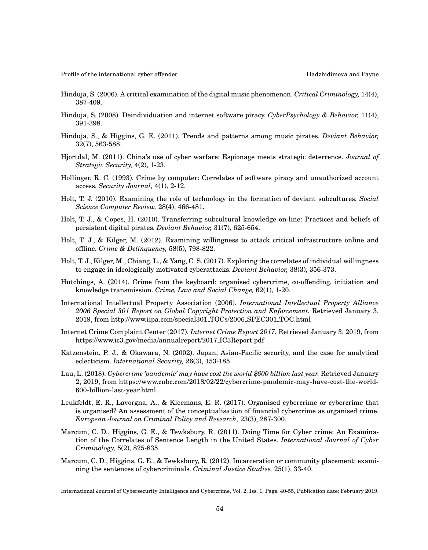- Hinduja, S. (2006). A critical examination of the digital music phenomenon. *Critical Criminology,* 14(4), 387-409.
- Hinduja, S. (2008). Deindividuation and internet software piracy. *CyberPsychology & Behavior,* 11(4), 391-398.
- Hinduja, S., & Higgins, G. E. (2011). Trends and patterns among music pirates. *Deviant Behavior,* 32(7), 563-588.
- Hjortdal, M. (2011). China's use of cyber warfare: Espionage meets strategic deterrence. *Journal of Strategic Security,* 4(2), 1-23.
- Hollinger, R. C. (1993). Crime by computer: Correlates of software piracy and unauthorized account access. *Security Journal,* 4(1), 2-12.
- Holt, T. J. (2010). Examining the role of technology in the formation of deviant subcultures. *Social Science Computer Review,* 28(4), 466-481.
- Holt, T. J., & Copes, H. (2010). Transferring subcultural knowledge on-line: Practices and beliefs of persistent digital pirates. *Deviant Behavior,* 31(7), 625-654.
- Holt, T. J., & Kilger, M. (2012). Examining willingness to attack critical infrastructure online and offline. *Crime & Delinquency,* 58(5), 798-822.
- Holt, T. J., Kilger, M., Chiang, L., & Yang, C. S. (2017). Exploring the correlates of individual willingness to engage in ideologically motivated cyberattacks. *Deviant Behavior,* 38(3), 356-373.
- Hutchings, A. (2014). Crime from the keyboard: organised cybercrime, co-offending, initiation and knowledge transmission. *Crime, Law and Social Change,* 62(1), 1-20.
- International Intellectual Property Association (2006). *International Intellectual Property Alliance 2006 Special 301 Report on Global Copyright Protection and Enforcement.* Retrieved January 3, 2019, from http://www.iipa.com/special301 TOCs/2006 SPEC301 TOC.html
- Internet Crime Complaint Center (2017). *Internet Crime Report 2017.* Retrieved January 3, 2019, from https://www.ic3.gov/media/annualreport/2017 IC3Report.pdf
- Katzenstein, P. J., & Okawara, N. (2002). Japan, Asian-Pacific security, and the case for analytical eclecticism. *International Security,* 26(3), 153-185.
- Lau, L. (2018). *Cybercrime 'pandemic' may have cost the world* \$*600 billion last year.* Retrieved January 2, 2019, from https://www.cnbc.com/2018/02/22/cybercrime-pandemic-may-have-cost-the-world-600-billion-last-year.html.
- Leukfeldt, E. R., Lavorgna, A., & Kleemans, E. R. (2017). Organised cybercrime or cybercrime that is organised? An assessment of the conceptualisation of financial cybercrime as organised crime. *European Journal on Criminal Policy and Research,* 23(3), 287-300.
- Marcum, C. D., Higgins, G. E., & Tewksbury, R. (2011). Doing Time for Cyber crime: An Examination of the Correlates of Sentence Length in the United States. *International Journal of Cyber Criminology,* 5(2), 825-835.
- Marcum, C. D., Higgins, G. E., & Tewksbury, R. (2012). Incarceration or community placement: examining the sentences of cybercriminals. *Criminal Justice Studies,* 25(1), 33-40.

International Journal of Cybersecurity Intelligence and Cybercrime, Vol. 2, Iss. 1, Page. 40-55, Publication date: February 2019.